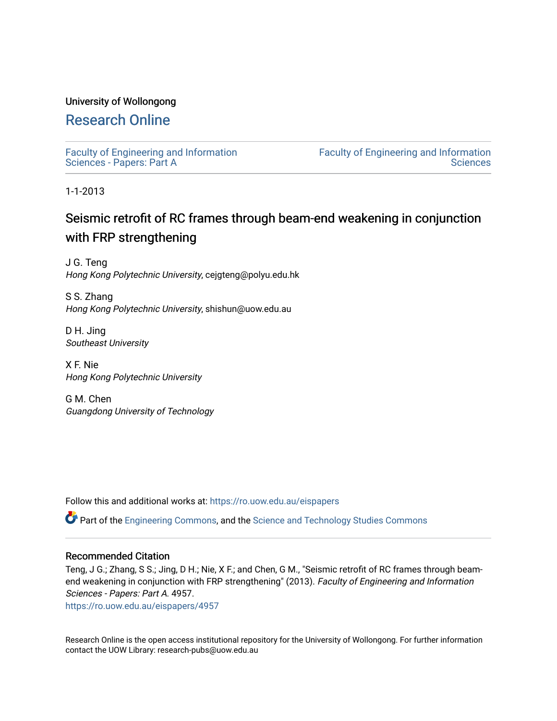# University of Wollongong

# [Research Online](https://ro.uow.edu.au/)

[Faculty of Engineering and Information](https://ro.uow.edu.au/eispapers)  [Sciences - Papers: Part A](https://ro.uow.edu.au/eispapers) 

[Faculty of Engineering and Information](https://ro.uow.edu.au/eis)  **Sciences** 

1-1-2013

# Seismic retrofit of RC frames through beam-end weakening in conjunction with FRP strengthening

J G. Teng Hong Kong Polytechnic University, cejgteng@polyu.edu.hk

S S. Zhang Hong Kong Polytechnic University, shishun@uow.edu.au

D H. Jing Southeast University

X F. Nie Hong Kong Polytechnic University

G M. Chen Guangdong University of Technology

Follow this and additional works at: [https://ro.uow.edu.au/eispapers](https://ro.uow.edu.au/eispapers?utm_source=ro.uow.edu.au%2Feispapers%2F4957&utm_medium=PDF&utm_campaign=PDFCoverPages)

Part of the [Engineering Commons](http://network.bepress.com/hgg/discipline/217?utm_source=ro.uow.edu.au%2Feispapers%2F4957&utm_medium=PDF&utm_campaign=PDFCoverPages), and the [Science and Technology Studies Commons](http://network.bepress.com/hgg/discipline/435?utm_source=ro.uow.edu.au%2Feispapers%2F4957&utm_medium=PDF&utm_campaign=PDFCoverPages)

# Recommended Citation

Teng, J G.; Zhang, S S.; Jing, D H.; Nie, X F.; and Chen, G M., "Seismic retrofit of RC frames through beamend weakening in conjunction with FRP strengthening" (2013). Faculty of Engineering and Information Sciences - Papers: Part A. 4957.

[https://ro.uow.edu.au/eispapers/4957](https://ro.uow.edu.au/eispapers/4957?utm_source=ro.uow.edu.au%2Feispapers%2F4957&utm_medium=PDF&utm_campaign=PDFCoverPages) 

Research Online is the open access institutional repository for the University of Wollongong. For further information contact the UOW Library: research-pubs@uow.edu.au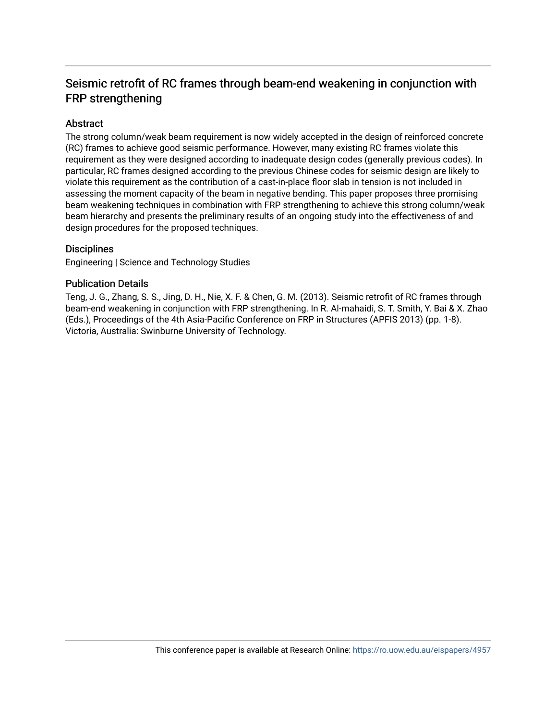# Seismic retrofit of RC frames through beam-end weakening in conjunction with FRP strengthening

# Abstract

The strong column/weak beam requirement is now widely accepted in the design of reinforced concrete (RC) frames to achieve good seismic performance. However, many existing RC frames violate this requirement as they were designed according to inadequate design codes (generally previous codes). In particular, RC frames designed according to the previous Chinese codes for seismic design are likely to violate this requirement as the contribution of a cast-in-place floor slab in tension is not included in assessing the moment capacity of the beam in negative bending. This paper proposes three promising beam weakening techniques in combination with FRP strengthening to achieve this strong column/weak beam hierarchy and presents the preliminary results of an ongoing study into the effectiveness of and design procedures for the proposed techniques.

# **Disciplines**

Engineering | Science and Technology Studies

# Publication Details

Teng, J. G., Zhang, S. S., Jing, D. H., Nie, X. F. & Chen, G. M. (2013). Seismic retrofit of RC frames through beam-end weakening in conjunction with FRP strengthening. In R. Al-mahaidi, S. T. Smith, Y. Bai & X. Zhao (Eds.), Proceedings of the 4th Asia-Pacific Conference on FRP in Structures (APFIS 2013) (pp. 1-8). Victoria, Australia: Swinburne University of Technology.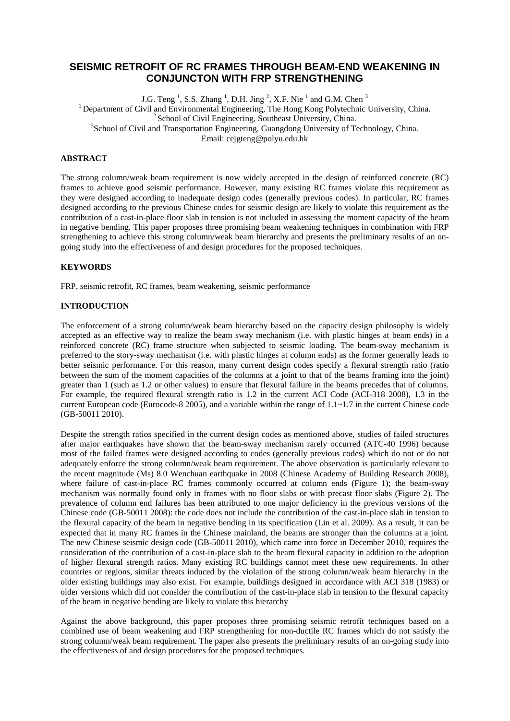# **SEISMIC RETROFIT OF RC FRAMES THROUGH BEAM-END WEAKENING IN CONJUNCTON WITH FRP STRENGTHENING**

J.G. Teng<sup>1</sup>, S.S. Zhang<sup>1</sup>, D.H. Jing<sup>2</sup>, X.F. Nie<sup>1</sup> and G.M. Chen<sup>3</sup> <sup>1</sup> Department of Civil and Environmental Engineering, The Hong Kong Polytechnic University, China. <sup>2</sup> School of Civil Engineering, Southeast University, China. <sup>3</sup>School of Civil and Transportation Engineering, Guangdong University of Technology, China. Email: cejgteng@polyu.edu.hk

## **ABSTRACT**

The strong column/weak beam requirement is now widely accepted in the design of reinforced concrete (RC) frames to achieve good seismic performance. However, many existing RC frames violate this requirement as they were designed according to inadequate design codes (generally previous codes). In particular, RC frames designed according to the previous Chinese codes for seismic design are likely to violate this requirement as the contribution of a cast-in-place floor slab in tension is not included in assessing the moment capacity of the beam in negative bending. This paper proposes three promising beam weakening techniques in combination with FRP strengthening to achieve this strong column/weak beam hierarchy and presents the preliminary results of an ongoing study into the effectiveness of and design procedures for the proposed techniques.

### **KEYWORDS**

FRP, seismic retrofit, RC frames, beam weakening, seismic performance

#### **INTRODUCTION**

The enforcement of a strong column/weak beam hierarchy based on the capacity design philosophy is widely accepted as an effective way to realize the beam sway mechanism (i.e. with plastic hinges at beam ends) in a reinforced concrete (RC) frame structure when subjected to seismic loading. The beam-sway mechanism is preferred to the story-sway mechanism (i.e. with plastic hinges at column ends) as the former generally leads to better seismic performance. For this reason, many current design codes specify a flexural strength ratio (ratio between the sum of the moment capacities of the columns at a joint to that of the beams framing into the joint) greater than 1 (such as 1.2 or other values) to ensure that flexural failure in the beams precedes that of columns. For example, the required flexural strength ratio is 1.2 in the current ACI Code (ACI-318 2008), 1.3 in the current European code (Eurocode-8 2005), and a variable within the range of 1.1~1.7 in the current Chinese code (GB-50011 2010).

Despite the strength ratios specified in the current design codes as mentioned above, studies of failed structures after major earthquakes have shown that the beam-sway mechanism rarely occurred (ATC-40 1996) because most of the failed frames were designed according to codes (generally previous codes) which do not or do not adequately enforce the strong column/weak beam requirement. The above observation is particularly relevant to the recent magnitude (Ms) 8.0 Wenchuan earthquake in 2008 (Chinese Academy of Building Research 2008), where failure of cast-in-place RC frames commonly occurred at column ends (Figure 1); the beam-sway mechanism was normally found only in frames with no floor slabs or with precast floor slabs (Figure 2). The prevalence of column end failures has been attributed to one major deficiency in the previous versions of the Chinese code (GB-50011 2008): the code does not include the contribution of the cast-in-place slab in tension to the flexural capacity of the beam in negative bending in its specification (Lin et al. 2009). As a result, it can be expected that in many RC frames in the Chinese mainland, the beams are stronger than the columns at a joint. The new Chinese seismic design code (GB-50011 2010), which came into force in December 2010, requires the consideration of the contribution of a cast-in-place slab to the beam flexural capacity in addition to the adoption of higher flexural strength ratios. Many existing RC buildings cannot meet these new requirements. In other countries or regions, similar threats induced by the violation of the strong column/weak beam hierarchy in the older existing buildings may also exist. For example, buildings designed in accordance with ACI 318 (1983) or older versions which did not consider the contribution of the cast-in-place slab in tension to the flexural capacity of the beam in negative bending are likely to violate this hierarchy

Against the above background, this paper proposes three promising seismic retrofit techniques based on a combined use of beam weakening and FRP strengthening for non-ductile RC frames which do not satisfy the strong column/weak beam requirement. The paper also presents the preliminary results of an on-going study into the effectiveness of and design procedures for the proposed techniques.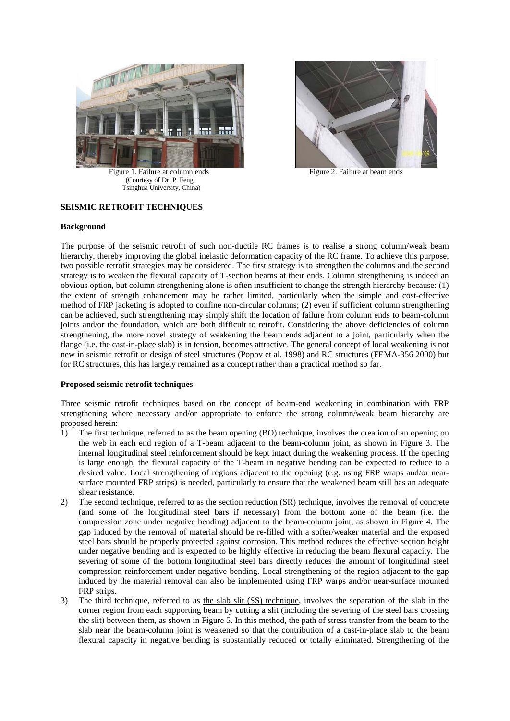

Figure 1. Failure at column ends Figure 2. Failure at beam ends (Courtesy of Dr. P. Feng, Tsinghua University, China)



# **SEISMIC RETROFIT TECHNIQUES**

### **Background**

The purpose of the seismic retrofit of such non-ductile RC frames is to realise a strong column/weak beam hierarchy, thereby improving the global inelastic deformation capacity of the RC frame. To achieve this purpose, two possible retrofit strategies may be considered. The first strategy is to strengthen the columns and the second strategy is to weaken the flexural capacity of T-section beams at their ends. Column strengthening is indeed an obvious option, but column strengthening alone is often insufficient to change the strength hierarchy because: (1) the extent of strength enhancement may be rather limited, particularly when the simple and cost-effective method of FRP jacketing is adopted to confine non-circular columns; (2) even if sufficient column strengthening can be achieved, such strengthening may simply shift the location of failure from column ends to beam-column joints and/or the foundation, which are both difficult to retrofit. Considering the above deficiencies of column strengthening, the more novel strategy of weakening the beam ends adjacent to a joint, particularly when the flange (i.e. the cast-in-place slab) is in tension, becomes attractive. The general concept of local weakening is not new in seismic retrofit or design of steel structures (Popov et al. 1998) and RC structures (FEMA-356 2000) but for RC structures, this has largely remained as a concept rather than a practical method so far.

## **Proposed seismic retrofit techniques**

Three seismic retrofit techniques based on the concept of beam-end weakening in combination with FRP strengthening where necessary and/or appropriate to enforce the strong column/weak beam hierarchy are proposed herein:

- 1) The first technique, referred to as the beam opening (BO) technique, involves the creation of an opening on the web in each end region of a T-beam adjacent to the beam-column joint, as shown in Figure 3. The internal longitudinal steel reinforcement should be kept intact during the weakening process. If the opening is large enough, the flexural capacity of the T-beam in negative bending can be expected to reduce to a desired value. Local strengthening of regions adjacent to the opening (e.g. using FRP wraps and/or nearsurface mounted FRP strips) is needed, particularly to ensure that the weakened beam still has an adequate shear resistance.
- 2) The second technique, referred to as the section reduction (SR) technique, involves the removal of concrete (and some of the longitudinal steel bars if necessary) from the bottom zone of the beam (i.e. the compression zone under negative bending) adjacent to the beam-column joint, as shown in Figure 4. The gap induced by the removal of material should be re-filled with a softer/weaker material and the exposed steel bars should be properly protected against corrosion. This method reduces the effective section height under negative bending and is expected to be highly effective in reducing the beam flexural capacity. The severing of some of the bottom longitudinal steel bars directly reduces the amount of longitudinal steel compression reinforcement under negative bending. Local strengthening of the region adjacent to the gap induced by the material removal can also be implemented using FRP warps and/or near-surface mounted FRP strips.
- 3) The third technique, referred to as the slab slit (SS) technique, involves the separation of the slab in the corner region from each supporting beam by cutting a slit (including the severing of the steel bars crossing the slit) between them, as shown in Figure 5. In this method, the path of stress transfer from the beam to the slab near the beam-column joint is weakened so that the contribution of a cast-in-place slab to the beam flexural capacity in negative bending is substantially reduced or totally eliminated. Strengthening of the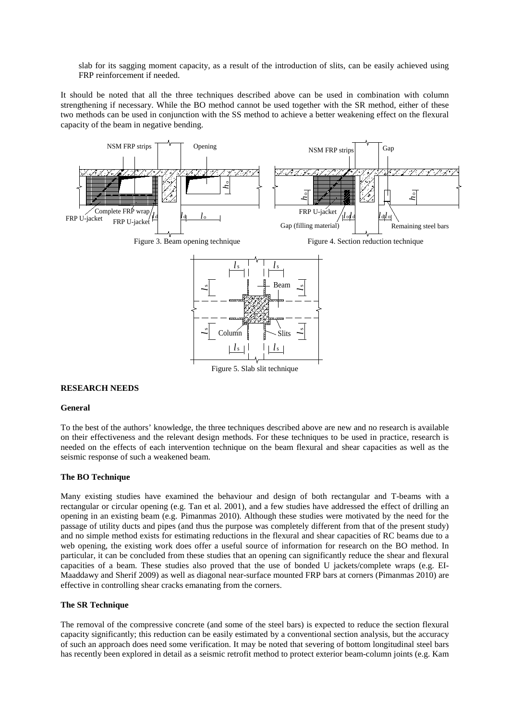slab for its sagging moment capacity, as a result of the introduction of slits, can be easily achieved using FRP reinforcement if needed.

It should be noted that all the three techniques described above can be used in combination with column strengthening if necessary. While the BO method cannot be used together with the SR method, either of these two methods can be used in conjunction with the SS method to achieve a better weakening effect on the flexural capacity of the beam in negative bending.



#### **RESEARCH NEEDS**

#### **General**

To the best of the authors' knowledge, the three techniques described above are new and no research is available on their effectiveness and the relevant design methods. For these techniques to be used in practice, research is needed on the effects of each intervention technique on the beam flexural and shear capacities as well as the seismic response of such a weakened beam.

#### **The BO Technique**

Many existing studies have examined the behaviour and design of both rectangular and T-beams with a rectangular or circular opening (e.g. Tan et al. 2001), and a few studies have addressed the effect of drilling an opening in an existing beam (e.g. Pimanmas 2010). Although these studies were motivated by the need for the passage of utility ducts and pipes (and thus the purpose was completely different from that of the present study) and no simple method exists for estimating reductions in the flexural and shear capacities of RC beams due to a web opening, the existing work does offer a useful source of information for research on the BO method. In particular, it can be concluded from these studies that an opening can significantly reduce the shear and flexural capacities of a beam. These studies also proved that the use of bonded U jackets/complete wraps (e.g. EI-Maaddawy and Sherif 2009) as well as diagonal near-surface mounted FRP bars at corners (Pimanmas 2010) are effective in controlling shear cracks emanating from the corners.

#### **The SR Technique**

The removal of the compressive concrete (and some of the steel bars) is expected to reduce the section flexural capacity significantly; this reduction can be easily estimated by a conventional section analysis, but the accuracy of such an approach does need some verification. It may be noted that severing of bottom longitudinal steel bars has recently been explored in detail as a seismic retrofit method to protect exterior beam-column joints (e.g. Kam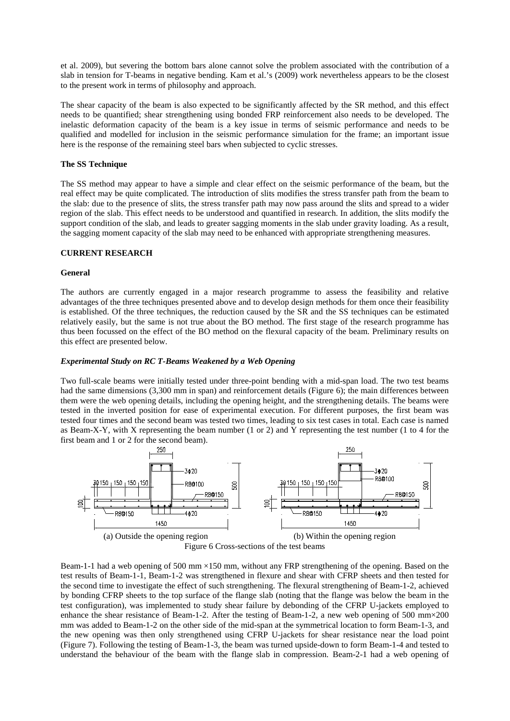et al. 2009), but severing the bottom bars alone cannot solve the problem associated with the contribution of a slab in tension for T-beams in negative bending. Kam et al.'s (2009) work nevertheless appears to be the closest to the present work in terms of philosophy and approach.

The shear capacity of the beam is also expected to be significantly affected by the SR method, and this effect needs to be quantified; shear strengthening using bonded FRP reinforcement also needs to be developed. The inelastic deformation capacity of the beam is a key issue in terms of seismic performance and needs to be qualified and modelled for inclusion in the seismic performance simulation for the frame; an important issue here is the response of the remaining steel bars when subjected to cyclic stresses.

## **The SS Technique**

The SS method may appear to have a simple and clear effect on the seismic performance of the beam, but the real effect may be quite complicated. The introduction of slits modifies the stress transfer path from the beam to the slab: due to the presence of slits, the stress transfer path may now pass around the slits and spread to a wider region of the slab. This effect needs to be understood and quantified in research. In addition, the slits modify the support condition of the slab, and leads to greater sagging moments in the slab under gravity loading. As a result, the sagging moment capacity of the slab may need to be enhanced with appropriate strengthening measures.

### **CURRENT RESEARCH**

### **General**

The authors are currently engaged in a major research programme to assess the feasibility and relative advantages of the three techniques presented above and to develop design methods for them once their feasibility is established. Of the three techniques, the reduction caused by the SR and the SS techniques can be estimated relatively easily, but the same is not true about the BO method. The first stage of the research programme has thus been focussed on the effect of the BO method on the flexural capacity of the beam. Preliminary results on this effect are presented below.

### *Experimental Study on RC T-Beams Weakened by a Web Opening*

Two full-scale beams were initially tested under three-point bending with a mid-span load. The two test beams had the same dimensions (3,300 mm in span) and reinforcement details (Figure 6); the main differences between them were the web opening details, including the opening height, and the strengthening details. The beams were tested in the inverted position for ease of experimental execution. For different purposes, the first beam was tested four times and the second beam was tested two times, leading to six test cases in total. Each case is named as Beam-X-Y, with X representing the beam number (1 or 2) and Y representing the test number (1 to 4 for the first beam and 1 or 2 for the second beam).



Beam-1-1 had a web opening of 500 mm ×150 mm, without any FRP strengthening of the opening. Based on the test results of Beam-1-1, Beam-1-2 was strengthened in flexure and shear with CFRP sheets and then tested for the second time to investigate the effect of such strengthening. The flexural strengthening of Beam-1-2, achieved by bonding CFRP sheets to the top surface of the flange slab (noting that the flange was below the beam in the test configuration), was implemented to study shear failure by debonding of the CFRP U-jackets employed to enhance the shear resistance of Beam-1-2. After the testing of Beam-1-2, a new web opening of 500 mm×200 mm was added to Beam-1-2 on the other side of the mid-span at the symmetrical location to form Beam-1-3, and the new opening was then only strengthened using CFRP U-jackets for shear resistance near the load point (Figure 7). Following the testing of Beam-1-3, the beam was turned upside-down to form Beam-1-4 and tested to understand the behaviour of the beam with the flange slab in compression. Beam-2-1 had a web opening of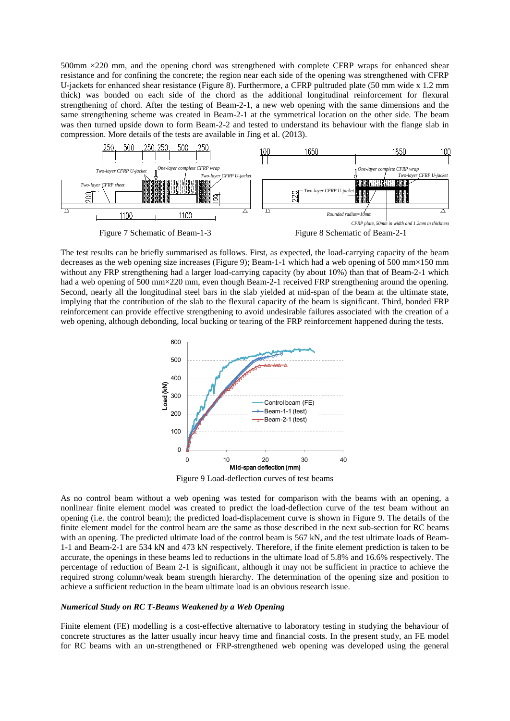500mm ×220 mm, and the opening chord was strengthened with complete CFRP wraps for enhanced shear resistance and for confining the concrete; the region near each side of the opening was strengthened with CFRP U-jackets for enhanced shear resistance (Figure 8). Furthermore, a CFRP pultruded plate (50 mm wide x 1.2 mm thick) was bonded on each side of the chord as the additional longitudinal reinforcement for flexural strengthening of chord. After the testing of Beam-2-1, a new web opening with the same dimensions and the same strengthening scheme was created in Beam-2-1 at the symmetrical location on the other side. The beam was then turned upside down to form Beam-2-2 and tested to understand its behaviour with the flange slab in compression. More details of the tests are available in Jing et al. (2013).



The test results can be briefly summarised as follows. First, as expected, the load-carrying capacity of the beam decreases as the web opening size increases (Figure 9); Beam-1-1 which had a web opening of 500 mm×150 mm without any FRP strengthening had a larger load-carrying capacity (by about 10%) than that of Beam-2-1 which had a web opening of 500 mm×220 mm, even though Beam-2-1 received FRP strengthening around the opening. Second, nearly all the longitudinal steel bars in the slab yielded at mid-span of the beam at the ultimate state, implying that the contribution of the slab to the flexural capacity of the beam is significant. Third, bonded FRP reinforcement can provide effective strengthening to avoid undesirable failures associated with the creation of a web opening, although debonding, local bucking or tearing of the FRP reinforcement happened during the tests.



Figure 9 Load-deflection curves of test beams

As no control beam without a web opening was tested for comparison with the beams with an opening, a nonlinear finite element model was created to predict the load-deflection curve of the test beam without an opening (i.e. the control beam); the predicted load-displacement curve is shown in Figure 9. The details of the finite element model for the control beam are the same as those described in the next sub-section for RC beams with an opening. The predicted ultimate load of the control beam is 567 kN, and the test ultimate loads of Beam-1-1 and Beam-2-1 are 534 kN and 473 kN respectively. Therefore, if the finite element prediction is taken to be accurate, the openings in these beams led to reductions in the ultimate load of 5.8% and 16.6% respectively. The percentage of reduction of Beam 2-1 is significant, although it may not be sufficient in practice to achieve the required strong column/weak beam strength hierarchy. The determination of the opening size and position to achieve a sufficient reduction in the beam ultimate load is an obvious research issue.

#### *Numerical Study on RC T-Beams Weakened by a Web Opening*

Finite element (FE) modelling is a cost-effective alternative to laboratory testing in studying the behaviour of concrete structures as the latter usually incur heavy time and financial costs. In the present study, an FE model for RC beams with an un-strengthened or FRP-strengthened web opening was developed using the general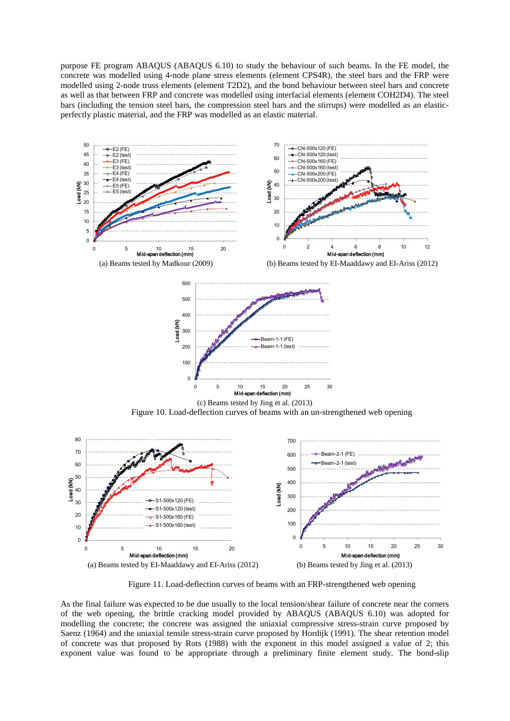purpose FE program ABAQUS (ABAQUS 6.10) to study the behaviour of such beams. In the FE model, the concrete was modelled using 4-node plane stress elements (element CPS4R), the steel bars and the FRP were modelled using 2-node truss elements (element T2D2), and the bond behaviour between steel bars and concrete as well as that between FRP and concrete was modelled using interfacial elements (element COH2D4). The steel bars (including the tension steel bars, the compression steel bars and the stirrups) were modelled as an elasticperfectly plastic material, and the FRP was modelled as an elastic material.



Figure 11. Load-deflection curves of beams with an FRP-strengthened web opening

As the final failure was expected to be due usually to the local tension/shear failure of concrete near the corners of the web opening, the brittle cracking model provided by ABAQUS (ABAQUS 6.10) was adopted for modelling the concrete; the concrete was assigned the uniaxial compressive stress-strain curve proposed by Saenz (1964) and the uniaxial tensile stress-strain curve proposed by Hordijk (1991). The shear retention model of concrete was that proposed by Rots (1988) with the exponent in this model assigned a value of 2; this exponent value was found to be appropriate through a preliminary finite element study. The bond-slip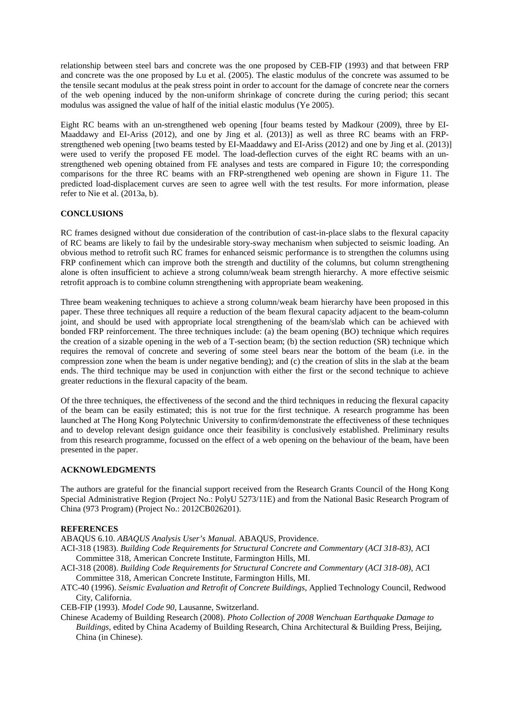relationship between steel bars and concrete was the one proposed by CEB-FIP (1993) and that between FRP and concrete was the one proposed by Lu et al. (2005). The elastic modulus of the concrete was assumed to be the tensile secant modulus at the peak stress point in order to account for the damage of concrete near the corners of the web opening induced by the non-uniform shrinkage of concrete during the curing period; this secant modulus was assigned the value of half of the initial elastic modulus (Ye 2005).

Eight RC beams with an un-strengthened web opening [four beams tested by Madkour (2009), three by EI-Maaddawy and EI-Ariss (2012), and one by Jing et al. (2013)] as well as three RC beams with an FRPstrengthened web opening [two beams tested by EI-Maaddawy and EI-Ariss (2012) and one by Jing et al. (2013)] were used to verify the proposed FE model. The load-deflection curves of the eight RC beams with an unstrengthened web opening obtained from FE analyses and tests are compared in Figure 10; the corresponding comparisons for the three RC beams with an FRP-strengthened web opening are shown in Figure 11. The predicted load-displacement curves are seen to agree well with the test results. For more information, please refer to Nie et al. (2013a, b).

## **CONCLUSIONS**

RC frames designed without due consideration of the contribution of cast-in-place slabs to the flexural capacity of RC beams are likely to fail by the undesirable story-sway mechanism when subjected to seismic loading. An obvious method to retrofit such RC frames for enhanced seismic performance is to strengthen the columns using FRP confinement which can improve both the strength and ductility of the columns, but column strengthening alone is often insufficient to achieve a strong column/weak beam strength hierarchy. A more effective seismic retrofit approach is to combine column strengthening with appropriate beam weakening.

Three beam weakening techniques to achieve a strong column/weak beam hierarchy have been proposed in this paper. These three techniques all require a reduction of the beam flexural capacity adjacent to the beam-column joint, and should be used with appropriate local strengthening of the beam/slab which can be achieved with bonded FRP reinforcement. The three techniques include: (a) the beam opening (BO) technique which requires the creation of a sizable opening in the web of a T-section beam; (b) the section reduction (SR) technique which requires the removal of concrete and severing of some steel bears near the bottom of the beam (i.e. in the compression zone when the beam is under negative bending); and (c) the creation of slits in the slab at the beam ends. The third technique may be used in conjunction with either the first or the second technique to achieve greater reductions in the flexural capacity of the beam.

Of the three techniques, the effectiveness of the second and the third techniques in reducing the flexural capacity of the beam can be easily estimated; this is not true for the first technique. A research programme has been launched at The Hong Kong Polytechnic University to confirm/demonstrate the effectiveness of these techniques and to develop relevant design guidance once their feasibility is conclusively established. Preliminary results from this research programme, focussed on the effect of a web opening on the behaviour of the beam, have been presented in the paper.

## **ACKNOWLEDGMENTS**

The authors are grateful for the financial support received from the Research Grants Council of the Hong Kong Special Administrative Region (Project No.: PolyU 5273/11E) and from the National Basic Research Program of China (973 Program) (Project No.: 2012CB026201).

#### **REFERENCES**

ABAQUS 6.10. *ABAQUS Analysis User's Manual.* ABAQUS, Providence.

- ACI-318 (1983). *Building Code Requirements for Structural Concrete and Commentary* (*ACI 318-83)*, ACI Committee 318, American Concrete Institute, Farmington Hills, MI.
- ACI-318 (2008). *Building Code Requirements for Structural Concrete and Commentary* (*ACI 318-08)*, ACI Committee 318, American Concrete Institute, Farmington Hills, MI.
- ATC-40 (1996). *Seismic Evaluation and Retrofit of Concrete Buildings*, Applied Technology Council, Redwood City, California.

CEB-FIP (1993). *Model Code 90*, Lausanne, Switzerland.

Chinese Academy of Building Research (2008). *Photo Collection of 2008 Wenchuan Earthquake Damage to Buildings*, edited by China Academy of Building Research, China Architectural & Building Press, Beijing, China (in Chinese).